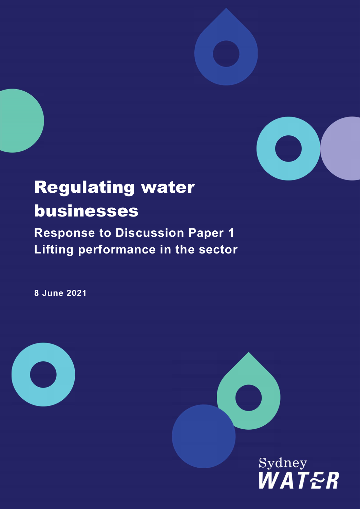

# Regulating water businesses

Response to Discussion Paper 1 Lifting performance in the sector

8 June 2021



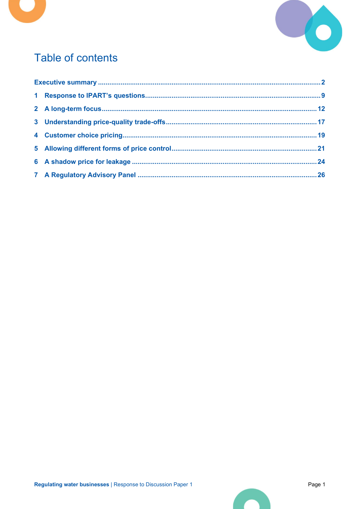



# Table of contents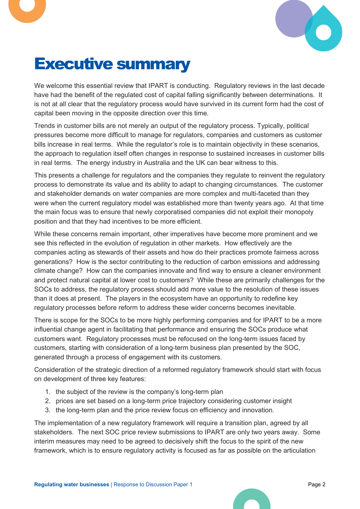

# Executive summary

We welcome this essential review that IPART is conducting. Regulatory reviews in the last decade have had the benefit of the regulated cost of capital falling significantly between determinations. It is not at all clear that the regulatory process would have survived in its current form had the cost of capital been moving in the opposite direction over this time.

Trends in customer bills are not merely an output of the regulatory process. Typically, political pressures become more difficult to manage for regulators, companies and customers as customer bills increase in real terms. While the regulator's role is to maintain objectivity in these scenarios, the approach to regulation itself often changes in response to sustained increases in customer bills in real terms. The energy industry in Australia and the UK can bear witness to this.

This presents a challenge for regulators and the companies they regulate to reinvent the regulatory process to demonstrate its value and its ability to adapt to changing circumstances. The customer and stakeholder demands on water companies are more complex and multi-faceted than they were when the current regulatory model was established more than twenty years ago. At that time the main focus was to ensure that newly corporatised companies did not exploit their monopoly position and that they had incentives to be more efficient.

While these concerns remain important, other imperatives have become more prominent and we see this reflected in the evolution of regulation in other markets. How effectively are the companies acting as stewards of their assets and how do their practices promote fairness across generations? How is the sector contributing to the reduction of carbon emissions and addressing climate change? How can the companies innovate and find way to ensure a cleaner environment and protect natural capital at lower cost to customers? While these are primarily challenges for the SOCs to address, the regulatory process should add more value to the resolution of these issues than it does at present. The players in the ecosystem have an opportunity to redefine key regulatory processes before reform to address these wider concerns becomes inevitable.

There is scope for the SOCs to be more highly performing companies and for IPART to be a more influential change agent in facilitating that performance and ensuring the SOCs produce what customers want. Regulatory processes must be refocused on the long-term issues faced by customers, starting with consideration of a long-term business plan presented by the SOC, generated through a process of engagement with its customers.

Consideration of the strategic direction of a reformed regulatory framework should start with focus on development of three key features:

- 1. the subject of the review is the company's long-term plan
- 2. prices are set based on a long-term price trajectory considering customer insight
- 3. the long-term plan and the price review focus on efficiency and innovation.

The implementation of a new regulatory framework will require a transition plan, agreed by all stakeholders. The next SOC price review submissions to IPART are only two years away. Some interim measures may need to be agreed to decisively shift the focus to the spirit of the new framework, which is to ensure regulatory activity is focused as far as possible on the articulation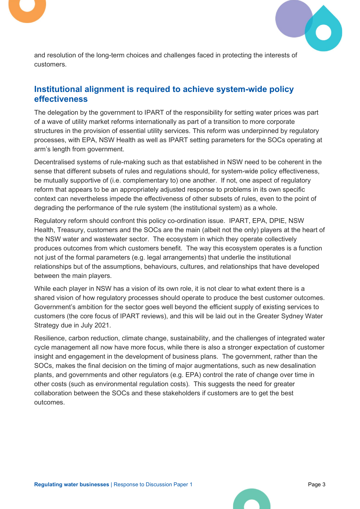



and resolution of the long-term choices and challenges faced in protecting the interests of customers.

# Institutional alignment is required to achieve system-wide policy effectiveness

The delegation by the government to IPART of the responsibility for setting water prices was part of a wave of utility market reforms internationally as part of a transition to more corporate structures in the provision of essential utility services. This reform was underpinned by regulatory processes, with EPA, NSW Health as well as IPART setting parameters for the SOCs operating at arm's length from government.

Decentralised systems of rule-making such as that established in NSW need to be coherent in the sense that different subsets of rules and regulations should, for system-wide policy effectiveness, be mutually supportive of (i.e. complementary to) one another. If not, one aspect of regulatory reform that appears to be an appropriately adjusted response to problems in its own specific context can nevertheless impede the effectiveness of other subsets of rules, even to the point of degrading the performance of the rule system (the institutional system) as a whole.

Regulatory reform should confront this policy co-ordination issue. IPART, EPA, DPIE, NSW Health, Treasury, customers and the SOCs are the main (albeit not the only) players at the heart of the NSW water and wastewater sector. The ecosystem in which they operate collectively produces outcomes from which customers benefit. The way this ecosystem operates is a function not just of the formal parameters (e.g. legal arrangements) that underlie the institutional relationships but of the assumptions, behaviours, cultures, and relationships that have developed between the main players.

While each player in NSW has a vision of its own role, it is not clear to what extent there is a shared vision of how regulatory processes should operate to produce the best customer outcomes. Government's ambition for the sector goes well beyond the efficient supply of existing services to customers (the core focus of IPART reviews), and this will be laid out in the Greater Sydney Water Strategy due in July 2021.

Resilience, carbon reduction, climate change, sustainability, and the challenges of integrated water cycle management all now have more focus, while there is also a stronger expectation of customer insight and engagement in the development of business plans. The government, rather than the SOCs, makes the final decision on the timing of major augmentations, such as new desalination plants, and governments and other regulators (e.g. EPA) control the rate of change over time in other costs (such as environmental regulation costs). This suggests the need for greater collaboration between the SOCs and these stakeholders if customers are to get the best outcomes.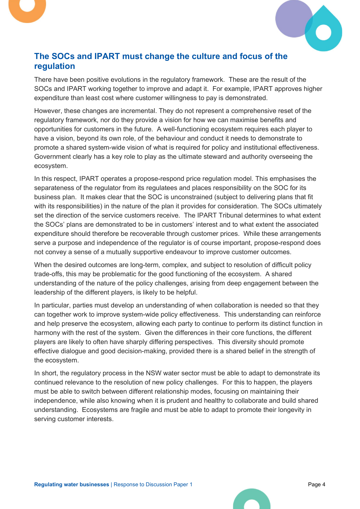

# The SOCs and IPART must change the culture and focus of the regulation

There have been positive evolutions in the regulatory framework. These are the result of the SOCs and IPART working together to improve and adapt it. For example, IPART approves higher expenditure than least cost where customer willingness to pay is demonstrated.

However, these changes are incremental. They do not represent a comprehensive reset of the regulatory framework, nor do they provide a vision for how we can maximise benefits and opportunities for customers in the future. A well-functioning ecosystem requires each player to have a vision, beyond its own role, of the behaviour and conduct it needs to demonstrate to promote a shared system-wide vision of what is required for policy and institutional effectiveness. Government clearly has a key role to play as the ultimate steward and authority overseeing the ecosystem.

In this respect, IPART operates a propose-respond price regulation model. This emphasises the separateness of the regulator from its regulatees and places responsibility on the SOC for its business plan. It makes clear that the SOC is unconstrained (subject to delivering plans that fit with its responsibilities) in the nature of the plan it provides for consideration. The SOCs ultimately set the direction of the service customers receive. The IPART Tribunal determines to what extent the SOCs' plans are demonstrated to be in customers' interest and to what extent the associated expenditure should therefore be recoverable through customer prices. While these arrangements serve a purpose and independence of the regulator is of course important, propose-respond does not convey a sense of a mutually supportive endeavour to improve customer outcomes.

When the desired outcomes are long-term, complex, and subject to resolution of difficult policy trade-offs, this may be problematic for the good functioning of the ecosystem. A shared understanding of the nature of the policy challenges, arising from deep engagement between the leadership of the different players, is likely to be helpful.

In particular, parties must develop an understanding of when collaboration is needed so that they can together work to improve system-wide policy effectiveness. This understanding can reinforce and help preserve the ecosystem, allowing each party to continue to perform its distinct function in harmony with the rest of the system. Given the differences in their core functions, the different players are likely to often have sharply differing perspectives. This diversity should promote effective dialogue and good decision-making, provided there is a shared belief in the strength of the ecosystem.

In short, the regulatory process in the NSW water sector must be able to adapt to demonstrate its continued relevance to the resolution of new policy challenges. For this to happen, the players must be able to switch between different relationship modes, focusing on maintaining their independence, while also knowing when it is prudent and healthy to collaborate and build shared understanding. Ecosystems are fragile and must be able to adapt to promote their longevity in serving customer interests.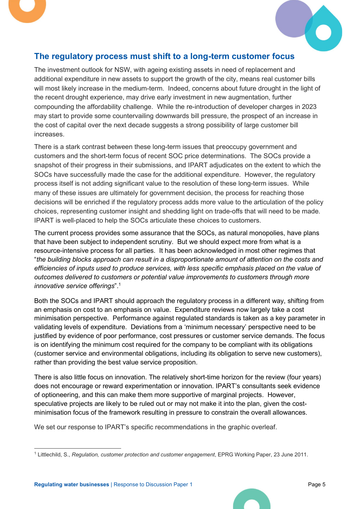



# The regulatory process must shift to a long-term customer focus

The investment outlook for NSW, with ageing existing assets in need of replacement and additional expenditure in new assets to support the growth of the city, means real customer bills will most likely increase in the medium-term. Indeed, concerns about future drought in the light of the recent drought experience, may drive early investment in new augmentation, further compounding the affordability challenge. While the re-introduction of developer charges in 2023 may start to provide some countervailing downwards bill pressure, the prospect of an increase in the cost of capital over the next decade suggests a strong possibility of large customer bill increases.

There is a stark contrast between these long-term issues that preoccupy government and customers and the short-term focus of recent SOC price determinations. The SOCs provide a snapshot of their progress in their submissions, and IPART adjudicates on the extent to which the SOCs have successfully made the case for the additional expenditure. However, the regulatory process itself is not adding significant value to the resolution of these long-term issues. While many of these issues are ultimately for government decision, the process for reaching those decisions will be enriched if the regulatory process adds more value to the articulation of the policy choices, representing customer insight and shedding light on trade-offs that will need to be made. IPART is well-placed to help the SOCs articulate these choices to customers.

The current process provides some assurance that the SOCs, as natural monopolies, have plans that have been subject to independent scrutiny. But we should expect more from what is a resource-intensive process for all parties. It has been acknowledged in most other regimes that "the building blocks approach can result in a disproportionate amount of attention on the costs and efficiencies of inputs used to produce services, with less specific emphasis placed on the value of outcomes delivered to customers or potential value improvements to customers through more innovative service offerings".<sup>1</sup>

Both the SOCs and IPART should approach the regulatory process in a different way, shifting from an emphasis on cost to an emphasis on value. Expenditure reviews now largely take a cost minimisation perspective. Performance against regulated standards is taken as a key parameter in validating levels of expenditure. Deviations from a 'minimum necessary' perspective need to be justified by evidence of poor performance, cost pressures or customer service demands. The focus is on identifying the minimum cost required for the company to be compliant with its obligations (customer service and environmental obligations, including its obligation to serve new customers), rather than providing the best value service proposition.

There is also little focus on innovation. The relatively short-time horizon for the review (four years) does not encourage or reward experimentation or innovation. IPART's consultants seek evidence of optioneering, and this can make them more supportive of marginal projects. However, speculative projects are likely to be ruled out or may not make it into the plan, given the costminimisation focus of the framework resulting in pressure to constrain the overall allowances.

We set our response to IPART's specific recommendations in the graphic overleaf.

<sup>&</sup>lt;sup>1</sup> Littlechild, S., Regulation, customer protection and customer engagement, EPRG Working Paper, 23 June 2011.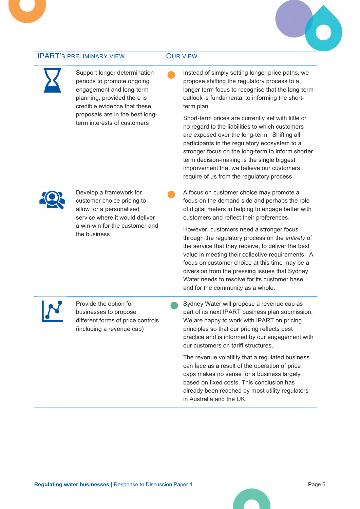#### **IPART'S PRELIMINARY VIEW COUR VIEW**

periods to promote ongoing engagement and long-term planning, provided there is credible evidence that these proposals are in the best longterm interests of customers

Support longer determination

 Instead of simply setting longer price paths, we propose shifting the regulatory process to a longer term focus to recognise that the long-term outlook is fundamental to informing the shortterm plan.

Short-term prices are currently set with little or no regard to the liabilities to which customers are exposed over the long-term. Shifting all participants in the regulatory ecosystem to a stronger focus on the long-term to inform shorter term decision-making is the single biggest improvement that we believe our customers require of us from the regulatory process.



Develop a framework for customer choice pricing to allow for a personalised service where it would deliver a win-win for the customer and the business

 A focus on customer choice may promote a focus on the demand side and perhaps the role of digital meters in helping to engage better with customers and reflect their preferences.

However, customers need a stronger focus through the regulatory process on the entirety of the service that they receive, to deliver the best value in meeting their collective requirements. A focus on customer choice at this time may be a diversion from the pressing issues that Sydney Water needs to resolve for its customer base and for the community as a whole.



Provide the option for businesses to propose different forms of price controls (including a revenue cap)

 Sydney Water will propose a revenue cap as part of its next IPART business plan submission. We are happy to work with IPART on pricing principles so that our pricing reflects best practice and is informed by our engagement with our customers on tariff structures.

The revenue volatility that a regulated business can face as a result of the operation of price caps makes no sense for a business largely based on fixed costs. This conclusion has already been reached by most utility regulators in Australia and the UK.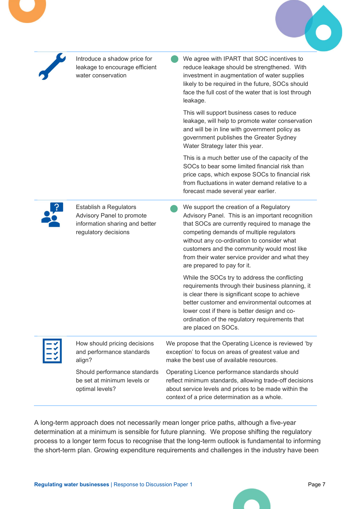

A long-term approach does not necessarily mean longer price paths, although a five-year determination at a minimum is sensible for future planning. We propose shifting the regulatory process to a longer term focus to recognise that the long-term outlook is fundamental to informing the short-term plan. Growing expenditure requirements and challenges in the industry have been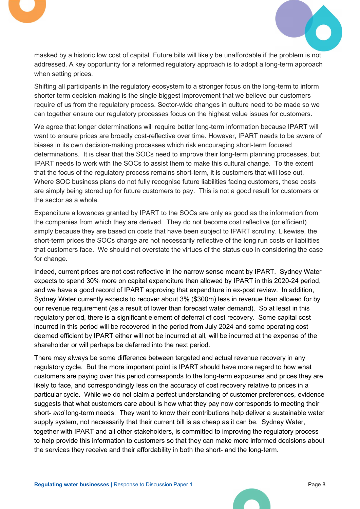



masked by a historic low cost of capital. Future bills will likely be unaffordable if the problem is not addressed. A key opportunity for a reformed regulatory approach is to adopt a long-term approach when setting prices.

Shifting all participants in the regulatory ecosystem to a stronger focus on the long-term to inform shorter term decision-making is the single biggest improvement that we believe our customers require of us from the regulatory process. Sector-wide changes in culture need to be made so we can together ensure our regulatory processes focus on the highest value issues for customers.

We agree that longer determinations will require better long-term information because IPART will want to ensure prices are broadly cost-reflective over time. However, IPART needs to be aware of biases in its own decision-making processes which risk encouraging short-term focused determinations. It is clear that the SOCs need to improve their long-term planning processes, but IPART needs to work with the SOCs to assist them to make this cultural change. To the extent that the focus of the regulatory process remains short-term, it is customers that will lose out. Where SOC business plans do not fully recognise future liabilities facing customers, these costs are simply being stored up for future customers to pay. This is not a good result for customers or the sector as a whole.

Expenditure allowances granted by IPART to the SOCs are only as good as the information from the companies from which they are derived. They do not become cost reflective (or efficient) simply because they are based on costs that have been subject to IPART scrutiny. Likewise, the short-term prices the SOCs charge are not necessarily reflective of the long run costs or liabilities that customers face. We should not overstate the virtues of the status quo in considering the case for change.

Indeed, current prices are not cost reflective in the narrow sense meant by IPART. Sydney Water expects to spend 30% more on capital expenditure than allowed by IPART in this 2020-24 period, and we have a good record of IPART approving that expenditure in ex-post review. In addition, Sydney Water currently expects to recover about 3% (\$300m) less in revenue than allowed for by our revenue requirement (as a result of lower than forecast water demand). So at least in this regulatory period, there is a significant element of deferral of cost recovery. Some capital cost incurred in this period will be recovered in the period from July 2024 and some operating cost deemed efficient by IPART either will not be incurred at all, will be incurred at the expense of the shareholder or will perhaps be deferred into the next period.

There may always be some difference between targeted and actual revenue recovery in any regulatory cycle. But the more important point is IPART should have more regard to how what customers are paying over this period corresponds to the long-term exposures and prices they are likely to face, and correspondingly less on the accuracy of cost recovery relative to prices in a particular cycle. While we do not claim a perfect understanding of customer preferences, evidence suggests that what customers care about is how what they pay now corresponds to meeting their short- and long-term needs. They want to know their contributions help deliver a sustainable water supply system, not necessarily that their current bill is as cheap as it can be. Sydney Water, together with IPART and all other stakeholders, is committed to improving the regulatory process to help provide this information to customers so that they can make more informed decisions about the services they receive and their affordability in both the short- and the long-term.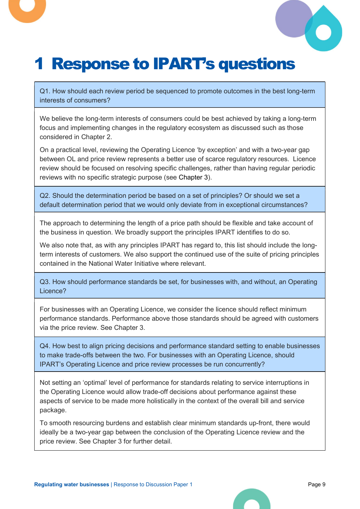

# 1 Response to IPART's questions

Q1. How should each review period be sequenced to promote outcomes in the best long-term interests of consumers?

We believe the long-term interests of consumers could be best achieved by taking a long-term focus and implementing changes in the regulatory ecosystem as discussed such as those considered in Chapter 2.

On a practical level, reviewing the Operating Licence 'by exception' and with a two-year gap between OL and price review represents a better use of scarce regulatory resources. Licence review should be focused on resolving specific challenges, rather than having regular periodic reviews with no specific strategic purpose (see Chapter 3).

Q2. Should the determination period be based on a set of principles? Or should we set a default determination period that we would only deviate from in exceptional circumstances?

The approach to determining the length of a price path should be flexible and take account of the business in question. We broadly support the principles IPART identifies to do so.

We also note that, as with any principles IPART has regard to, this list should include the longterm interests of customers. We also support the continued use of the suite of pricing principles contained in the National Water Initiative where relevant.

Q3. How should performance standards be set, for businesses with, and without, an Operating Licence?

For businesses with an Operating Licence, we consider the licence should reflect minimum performance standards. Performance above those standards should be agreed with customers via the price review. See Chapter 3.

Q4. How best to align pricing decisions and performance standard setting to enable businesses to make trade-offs between the two. For businesses with an Operating Licence, should IPART's Operating Licence and price review processes be run concurrently?

Not setting an 'optimal' level of performance for standards relating to service interruptions in the Operating Licence would allow trade-off decisions about performance against these aspects of service to be made more holistically in the context of the overall bill and service package.

To smooth resourcing burdens and establish clear minimum standards up-front, there would ideally be a two-year gap between the conclusion of the Operating Licence review and the price review. See Chapter 3 for further detail.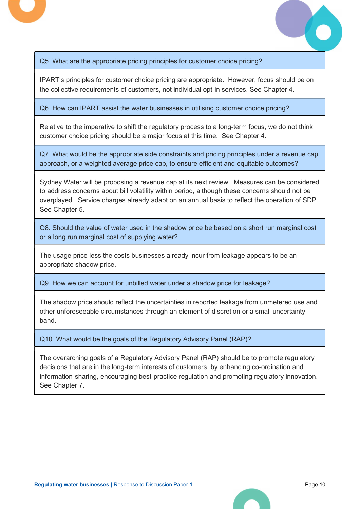

Q5. What are the appropriate pricing principles for customer choice pricing?

IPART's principles for customer choice pricing are appropriate. However, focus should be on the collective requirements of customers, not individual opt-in services. See Chapter 4.

Q6. How can IPART assist the water businesses in utilising customer choice pricing?

Relative to the imperative to shift the regulatory process to a long-term focus, we do not think customer choice pricing should be a major focus at this time. See Chapter 4.

Q7. What would be the appropriate side constraints and pricing principles under a revenue cap approach, or a weighted average price cap, to ensure efficient and equitable outcomes?

Sydney Water will be proposing a revenue cap at its next review. Measures can be considered to address concerns about bill volatility within period, although these concerns should not be overplayed. Service charges already adapt on an annual basis to reflect the operation of SDP. See Chapter 5.

Q8. Should the value of water used in the shadow price be based on a short run marginal cost or a long run marginal cost of supplying water?

The usage price less the costs businesses already incur from leakage appears to be an appropriate shadow price.

Q9. How we can account for unbilled water under a shadow price for leakage?

The shadow price should reflect the uncertainties in reported leakage from unmetered use and other unforeseeable circumstances through an element of discretion or a small uncertainty band.

Q10. What would be the goals of the Regulatory Advisory Panel (RAP)?

The overarching goals of a Regulatory Advisory Panel (RAP) should be to promote regulatory decisions that are in the long-term interests of customers, by enhancing co-ordination and information-sharing, encouraging best-practice regulation and promoting regulatory innovation. See Chapter 7.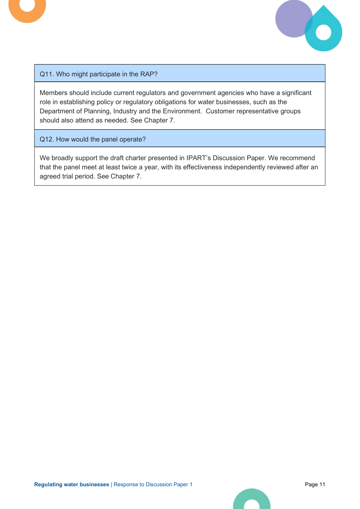

### Q11. Who might participate in the RAP?

Members should include current regulators and government agencies who have a significant role in establishing policy or regulatory obligations for water businesses, such as the Department of Planning, Industry and the Environment. Customer representative groups should also attend as needed. See Chapter 7.

Q12. How would the panel operate?

We broadly support the draft charter presented in IPART's Discussion Paper. We recommend that the panel meet at least twice a year, with its effectiveness independently reviewed after an agreed trial period. See Chapter 7.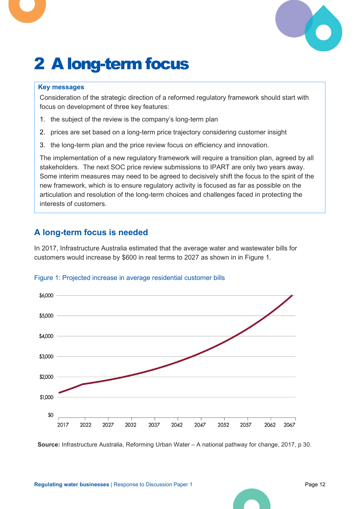

# 2 A long-term focus

#### Key messages

Consideration of the strategic direction of a reformed regulatory framework should start with focus on development of three key features:

- 1. the subject of the review is the company's long-term plan
- 2. prices are set based on a long-term price trajectory considering customer insight
- 3. the long-term plan and the price review focus on efficiency and innovation.

The implementation of a new regulatory framework will require a transition plan, agreed by all stakeholders. The next SOC price review submissions to IPART are only two years away. Some interim measures may need to be agreed to decisively shift the focus to the spirit of the new framework, which is to ensure regulatory activity is focused as far as possible on the articulation and resolution of the long-term choices and challenges faced in protecting the interests of customers.

# A long-term focus is needed

In 2017, Infrastructure Australia estimated that the average water and wastewater bills for customers would increase by \$600 in real terms to 2027 as shown in in Figure 1.

### Figure 1: Projected increase in average residential customer bills



Source: Infrastructure Australia, Reforming Urban Water – A national pathway for change, 2017, p 30.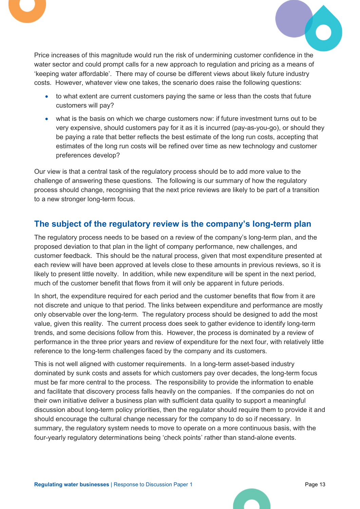



Price increases of this magnitude would run the risk of undermining customer confidence in the water sector and could prompt calls for a new approach to regulation and pricing as a means of 'keeping water affordable'. There may of course be different views about likely future industry costs. However, whatever view one takes, the scenario does raise the following questions:

- to what extent are current customers paying the same or less than the costs that future customers will pay?
- what is the basis on which we charge customers now: if future investment turns out to be very expensive, should customers pay for it as it is incurred (pay-as-you-go), or should they be paying a rate that better reflects the best estimate of the long run costs, accepting that estimates of the long run costs will be refined over time as new technology and customer preferences develop?

Our view is that a central task of the regulatory process should be to add more value to the challenge of answering these questions. The following is our summary of how the regulatory process should change, recognising that the next price reviews are likely to be part of a transition to a new stronger long-term focus.

# The subject of the regulatory review is the company's long-term plan

The regulatory process needs to be based on a review of the company's long-term plan, and the proposed deviation to that plan in the light of company performance, new challenges, and customer feedback. This should be the natural process, given that most expenditure presented at each review will have been approved at levels close to these amounts in previous reviews, so it is likely to present little novelty. In addition, while new expenditure will be spent in the next period, much of the customer benefit that flows from it will only be apparent in future periods.

In short, the expenditure required for each period and the customer benefits that flow from it are not discrete and unique to that period. The links between expenditure and performance are mostly only observable over the long-term. The regulatory process should be designed to add the most value, given this reality. The current process does seek to gather evidence to identify long-term trends, and some decisions follow from this. However, the process is dominated by a review of performance in the three prior years and review of expenditure for the next four, with relatively little reference to the long-term challenges faced by the company and its customers.

This is not well aligned with customer requirements. In a long-term asset-based industry dominated by sunk costs and assets for which customers pay over decades, the long-term focus must be far more central to the process. The responsibility to provide the information to enable and facilitate that discovery process falls heavily on the companies. If the companies do not on their own initiative deliver a business plan with sufficient data quality to support a meaningful discussion about long-term policy priorities, then the regulator should require them to provide it and should encourage the cultural change necessary for the company to do so if necessary. In summary, the regulatory system needs to move to operate on a more continuous basis, with the four-yearly regulatory determinations being 'check points' rather than stand-alone events.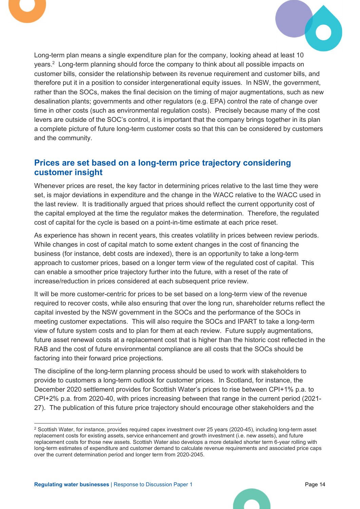



Long-term plan means a single expenditure plan for the company, looking ahead at least 10 years.<sup>2</sup> Long-term planning should force the company to think about all possible impacts on customer bills, consider the relationship between its revenue requirement and customer bills, and therefore put it in a position to consider intergenerational equity issues. In NSW, the government, rather than the SOCs, makes the final decision on the timing of major augmentations, such as new desalination plants; governments and other regulators (e.g. EPA) control the rate of change over time in other costs (such as environmental regulation costs). Precisely because many of the cost levers are outside of the SOC's control, it is important that the company brings together in its plan a complete picture of future long-term customer costs so that this can be considered by customers and the community.

### Prices are set based on a long-term price trajectory considering customer insight

Whenever prices are reset, the key factor in determining prices relative to the last time they were set, is major deviations in expenditure and the change in the WACC relative to the WACC used in the last review. It is traditionally argued that prices should reflect the current opportunity cost of the capital employed at the time the regulator makes the determination. Therefore, the regulated cost of capital for the cycle is based on a point-in-time estimate at each price reset.

As experience has shown in recent years, this creates volatility in prices between review periods. While changes in cost of capital match to some extent changes in the cost of financing the business (for instance, debt costs are indexed), there is an opportunity to take a long-term approach to customer prices, based on a longer term view of the regulated cost of capital. This can enable a smoother price trajectory further into the future, with a reset of the rate of increase/reduction in prices considered at each subsequent price review.

It will be more customer-centric for prices to be set based on a long-term view of the revenue required to recover costs, while also ensuring that over the long run, shareholder returns reflect the capital invested by the NSW government in the SOCs and the performance of the SOCs in meeting customer expectations. This will also require the SOCs and IPART to take a long-term view of future system costs and to plan for them at each review. Future supply augmentations, future asset renewal costs at a replacement cost that is higher than the historic cost reflected in the RAB and the cost of future environmental compliance are all costs that the SOCs should be factoring into their forward price projections.

The discipline of the long-term planning process should be used to work with stakeholders to provide to customers a long-term outlook for customer prices. In Scotland, for instance, the December 2020 settlement provides for Scottish Water's prices to rise between CPI+1% p.a. to CPI+2% p.a. from 2020-40, with prices increasing between that range in the current period (2021- 27). The publication of this future price trajectory should encourage other stakeholders and the

<sup>2</sup> Scottish Water, for instance, provides required capex investment over 25 years (2020-45), including long-term asset replacement costs for existing assets, service enhancement and growth investment (i.e. new assets), and future replacement costs for those new assets. Scottish Water also develops a more detailed shorter term 6-year rolling with long-term estimates of expenditure and customer demand to calculate revenue requirements and associated price caps over the current determination period and longer term from 2020-2045.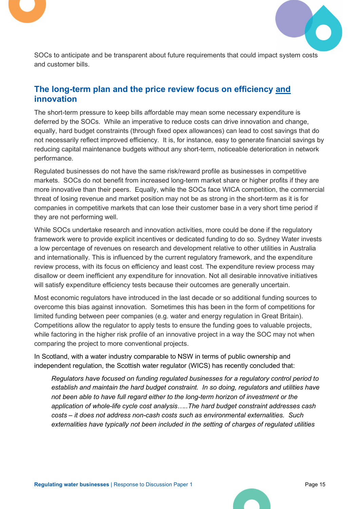



SOCs to anticipate and be transparent about future requirements that could impact system costs and customer bills.

# The long-term plan and the price review focus on efficiency and innovation

The short-term pressure to keep bills affordable may mean some necessary expenditure is deferred by the SOCs. While an imperative to reduce costs can drive innovation and change, equally, hard budget constraints (through fixed opex allowances) can lead to cost savings that do not necessarily reflect improved efficiency. It is, for instance, easy to generate financial savings by reducing capital maintenance budgets without any short-term, noticeable deterioration in network performance.

Regulated businesses do not have the same risk/reward profile as businesses in competitive markets. SOCs do not benefit from increased long-term market share or higher profits if they are more innovative than their peers. Equally, while the SOCs face WICA competition, the commercial threat of losing revenue and market position may not be as strong in the short-term as it is for companies in competitive markets that can lose their customer base in a very short time period if they are not performing well.

While SOCs undertake research and innovation activities, more could be done if the regulatory framework were to provide explicit incentives or dedicated funding to do so. Sydney Water invests a low percentage of revenues on research and development relative to other utilities in Australia and internationally. This is influenced by the current regulatory framework, and the expenditure review process, with its focus on efficiency and least cost. The expenditure review process may disallow or deem inefficient any expenditure for innovation. Not all desirable innovative initiatives will satisfy expenditure efficiency tests because their outcomes are generally uncertain.

Most economic regulators have introduced in the last decade or so additional funding sources to overcome this bias against innovation. Sometimes this has been in the form of competitions for limited funding between peer companies (e.g. water and energy regulation in Great Britain). Competitions allow the regulator to apply tests to ensure the funding goes to valuable projects, while factoring in the higher risk profile of an innovative project in a way the SOC may not when comparing the project to more conventional projects.

In Scotland, with a water industry comparable to NSW in terms of public ownership and independent regulation, the Scottish water regulator (WICS) has recently concluded that:

Regulators have focused on funding regulated businesses for a regulatory control period to establish and maintain the hard budget constraint. In so doing, regulators and utilities have not been able to have full regard either to the long-term horizon of investment or the application of whole-life cycle cost analysis…..The hard budget constraint addresses cash costs – it does not address non-cash costs such as environmental externalities. Such externalities have typically not been included in the setting of charges of regulated utilities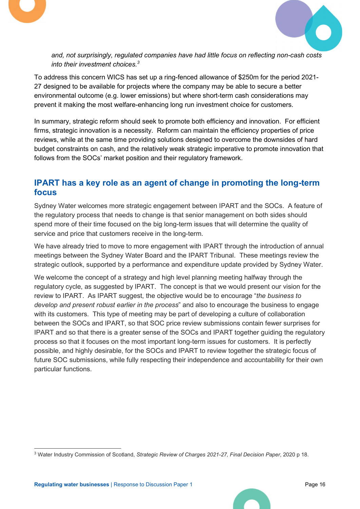



and, not surprisingly, regulated companies have had little focus on reflecting non-cash costs into their investment choices. $3$ 

To address this concern WICS has set up a ring-fenced allowance of \$250m for the period 2021- 27 designed to be available for projects where the company may be able to secure a better environmental outcome (e.g. lower emissions) but where short-term cash considerations may prevent it making the most welfare-enhancing long run investment choice for customers.

In summary, strategic reform should seek to promote both efficiency and innovation. For efficient firms, strategic innovation is a necessity. Reform can maintain the efficiency properties of price reviews, while at the same time providing solutions designed to overcome the downsides of hard budget constraints on cash, and the relatively weak strategic imperative to promote innovation that follows from the SOCs' market position and their regulatory framework.

### IPART has a key role as an agent of change in promoting the long-term focus

Sydney Water welcomes more strategic engagement between IPART and the SOCs. A feature of the regulatory process that needs to change is that senior management on both sides should spend more of their time focused on the big long-term issues that will determine the quality of service and price that customers receive in the long-term.

We have already tried to move to more engagement with IPART through the introduction of annual meetings between the Sydney Water Board and the IPART Tribunal. These meetings review the strategic outlook, supported by a performance and expenditure update provided by Sydney Water.

We welcome the concept of a strategy and high level planning meeting halfway through the regulatory cycle, as suggested by IPART. The concept is that we would present our vision for the review to IPART. As IPART suggest, the objective would be to encourage "the business to develop and present robust earlier in the process" and also to encourage the business to engage with its customers. This type of meeting may be part of developing a culture of collaboration between the SOCs and IPART, so that SOC price review submissions contain fewer surprises for IPART and so that there is a greater sense of the SOCs and IPART together guiding the regulatory process so that it focuses on the most important long-term issues for customers. It is perfectly possible, and highly desirable, for the SOCs and IPART to review together the strategic focus of future SOC submissions, while fully respecting their independence and accountability for their own particular functions.

<sup>&</sup>lt;sup>3</sup> Water Industry Commission of Scotland, Strategic Review of Charges 2021-27, Final Decision Paper, 2020 p 18.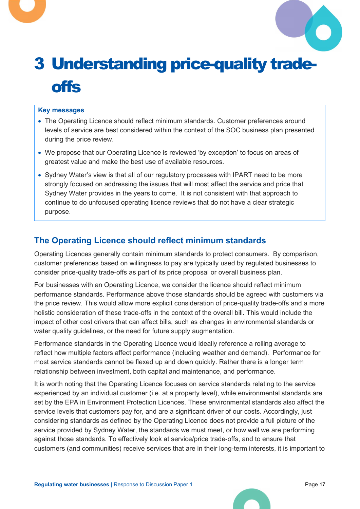

# 3 Understanding price-quality tradeoffs

#### Key messages

- The Operating Licence should reflect minimum standards. Customer preferences around levels of service are best considered within the context of the SOC business plan presented during the price review.
- We propose that our Operating Licence is reviewed 'by exception' to focus on areas of greatest value and make the best use of available resources.
- Sydney Water's view is that all of our regulatory processes with IPART need to be more strongly focused on addressing the issues that will most affect the service and price that Sydney Water provides in the years to come. It is not consistent with that approach to continue to do unfocused operating licence reviews that do not have a clear strategic purpose.

# The Operating Licence should reflect minimum standards

Operating Licences generally contain minimum standards to protect consumers. By comparison, customer preferences based on willingness to pay are typically used by regulated businesses to consider price-quality trade-offs as part of its price proposal or overall business plan.

For businesses with an Operating Licence, we consider the licence should reflect minimum performance standards. Performance above those standards should be agreed with customers via the price review. This would allow more explicit consideration of price-quality trade-offs and a more holistic consideration of these trade-offs in the context of the overall bill. This would include the impact of other cost drivers that can affect bills, such as changes in environmental standards or water quality guidelines, or the need for future supply augmentation.

Performance standards in the Operating Licence would ideally reference a rolling average to reflect how multiple factors affect performance (including weather and demand). Performance for most service standards cannot be flexed up and down quickly. Rather there is a longer term relationship between investment, both capital and maintenance, and performance.

It is worth noting that the Operating Licence focuses on service standards relating to the service experienced by an individual customer (i.e. at a property level), while environmental standards are set by the EPA in Environment Protection Licences. These environmental standards also affect the service levels that customers pay for, and are a significant driver of our costs. Accordingly, just considering standards as defined by the Operating Licence does not provide a full picture of the service provided by Sydney Water, the standards we must meet, or how well we are performing against those standards. To effectively look at service/price trade-offs, and to ensure that customers (and communities) receive services that are in their long-term interests, it is important to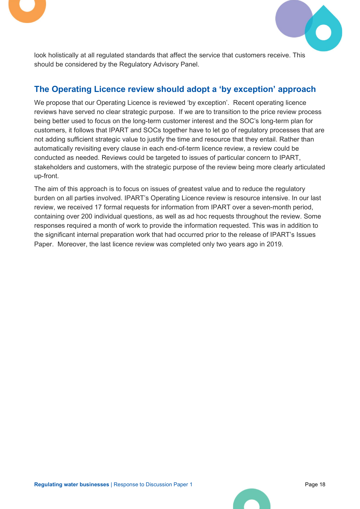



look holistically at all regulated standards that affect the service that customers receive. This should be considered by the Regulatory Advisory Panel.

# The Operating Licence review should adopt a 'by exception' approach

We propose that our Operating Licence is reviewed 'by exception'. Recent operating licence reviews have served no clear strategic purpose. If we are to transition to the price review process being better used to focus on the long-term customer interest and the SOC's long-term plan for customers, it follows that IPART and SOCs together have to let go of regulatory processes that are not adding sufficient strategic value to justify the time and resource that they entail. Rather than automatically revisiting every clause in each end-of-term licence review, a review could be conducted as needed. Reviews could be targeted to issues of particular concern to IPART, stakeholders and customers, with the strategic purpose of the review being more clearly articulated up-front.

The aim of this approach is to focus on issues of greatest value and to reduce the regulatory burden on all parties involved. IPART's Operating Licence review is resource intensive. In our last review, we received 17 formal requests for information from IPART over a seven-month period, containing over 200 individual questions, as well as ad hoc requests throughout the review. Some responses required a month of work to provide the information requested. This was in addition to the significant internal preparation work that had occurred prior to the release of IPART's Issues Paper. Moreover, the last licence review was completed only two years ago in 2019.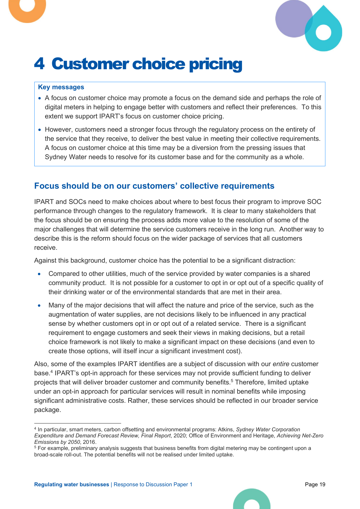

# 4 Customer choice pricing

#### Key messages

- A focus on customer choice may promote a focus on the demand side and perhaps the role of digital meters in helping to engage better with customers and reflect their preferences. To this extent we support IPART's focus on customer choice pricing.
- However, customers need a stronger focus through the regulatory process on the entirety of the service that they receive, to deliver the best value in meeting their collective requirements. A focus on customer choice at this time may be a diversion from the pressing issues that Sydney Water needs to resolve for its customer base and for the community as a whole.

### Focus should be on our customers' collective requirements

IPART and SOCs need to make choices about where to best focus their program to improve SOC performance through changes to the regulatory framework. It is clear to many stakeholders that the focus should be on ensuring the process adds more value to the resolution of some of the major challenges that will determine the service customers receive in the long run. Another way to describe this is the reform should focus on the wider package of services that all customers receive.

Against this background, customer choice has the potential to be a significant distraction:

- Compared to other utilities, much of the service provided by water companies is a shared community product. It is not possible for a customer to opt in or opt out of a specific quality of their drinking water or of the environmental standards that are met in their area.
- Many of the major decisions that will affect the nature and price of the service, such as the augmentation of water supplies, are not decisions likely to be influenced in any practical sense by whether customers opt in or opt out of a related service. There is a significant requirement to engage customers and seek their views in making decisions, but a retail choice framework is not likely to make a significant impact on these decisions (and even to create those options, will itself incur a significant investment cost).

Also, some of the examples IPART identifies are a subject of discussion with our entire customer base.<sup>4</sup> IPART's opt-in approach for these services may not provide sufficient funding to deliver projects that will deliver broader customer and community benefits.<sup>5</sup> Therefore, limited uptake under an opt-in approach for particular services will result in nominal benefits while imposing significant administrative costs. Rather, these services should be reflected in our broader service package.

<sup>&</sup>lt;sup>4</sup> In particular, smart meters, carbon offsetting and environmental programs: Atkins, Sydney Water Corporation Expenditure and Demand Forecast Review, Final Report, 2020; Office of Environment and Heritage, Achieving Net-Zero Emissions by 2050, 2016.

<sup>5</sup> For example, preliminary analysis suggests that business benefits from digital metering may be contingent upon a broad-scale roll-out. The potential benefits will not be realised under limited uptake.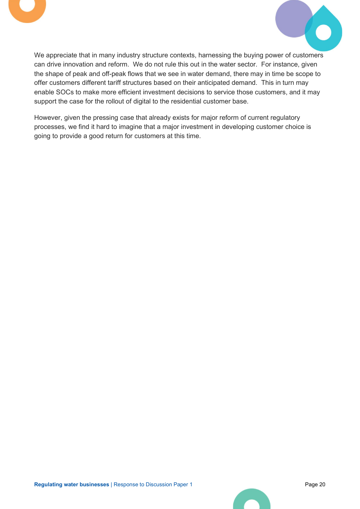



We appreciate that in many industry structure contexts, harnessing the buying power of customers can drive innovation and reform. We do not rule this out in the water sector. For instance, given the shape of peak and off-peak flows that we see in water demand, there may in time be scope to offer customers different tariff structures based on their anticipated demand. This in turn may enable SOCs to make more efficient investment decisions to service those customers, and it may support the case for the rollout of digital to the residential customer base.

However, given the pressing case that already exists for major reform of current regulatory processes, we find it hard to imagine that a major investment in developing customer choice is going to provide a good return for customers at this time.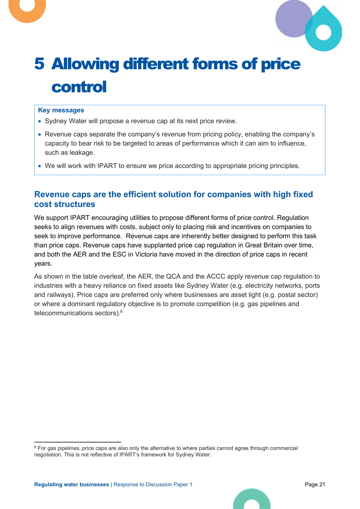

# 5 Allowing different forms of price control

#### Key messages

- Sydney Water will propose a revenue cap at its next price review.
- Revenue caps separate the company's revenue from pricing policy, enabling the company's capacity to bear risk to be targeted to areas of performance which it can aim to influence, such as leakage.
- We will work with IPART to ensure we price according to appropriate pricing principles.

### Revenue caps are the efficient solution for companies with high fixed cost structures

We support IPART encouraging utilities to propose different forms of price control. Regulation seeks to align revenues with costs, subject only to placing risk and incentives on companies to seek to improve performance. Revenue caps are inherently better designed to perform this task than price caps. Revenue caps have supplanted price cap regulation in Great Britain over time, and both the AER and the ESC in Victoria have moved in the direction of price caps in recent years.

As shown in the table overleaf, the AER, the QCA and the ACCC apply revenue cap regulation to industries with a heavy reliance on fixed assets like Sydney Water (e.g. electricity networks, ports and railways). Price caps are preferred only where businesses are asset light (e.g. postal sector) or where a dominant regulatory objective is to promote competition (e.g. gas pipelines and telecommunications sectors).<sup>6</sup>

<sup>&</sup>lt;sup>6</sup> For gas pipelines, price caps are also only the alternative to where parties cannot agree through commercial negotiation. This is not reflective of IPART's framework for Sydney Water.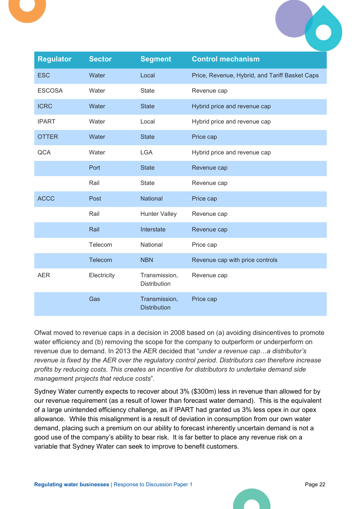

Ofwat moved to revenue caps in a decision in 2008 based on (a) avoiding disincentives to promote water efficiency and (b) removing the scope for the company to outperform or underperform on revenue due to demand. In 2013 the AER decided that "*under a revenue cap...a distributor's* revenue is fixed by the AER over the regulatory control period. Distributors can therefore increase profits by reducing costs. This creates an incentive for distributors to undertake demand side management projects that reduce costs".

Sydney Water currently expects to recover about 3% (\$300m) less in revenue than allowed for by our revenue requirement (as a result of lower than forecast water demand). This is the equivalent of a large unintended efficiency challenge, as if IPART had granted us 3% less opex in our opex allowance. While this misalignment is a result of deviation in consumption from our own water demand, placing such a premium on our ability to forecast inherently uncertain demand is not a good use of the company's ability to bear risk. It is far better to place any revenue risk on a variable that Sydney Water can seek to improve to benefit customers.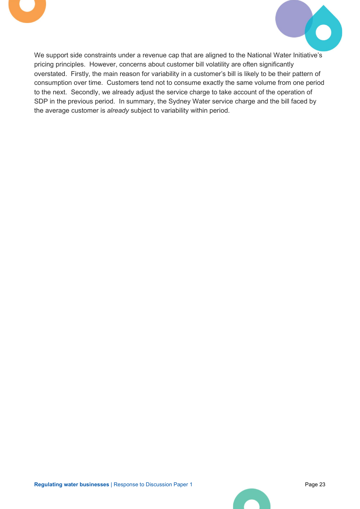



We support side constraints under a revenue cap that are aligned to the National Water Initiative's pricing principles. However, concerns about customer bill volatility are often significantly overstated. Firstly, the main reason for variability in a customer's bill is likely to be their pattern of consumption over time. Customers tend not to consume exactly the same volume from one period to the next. Secondly, we already adjust the service charge to take account of the operation of SDP in the previous period. In summary, the Sydney Water service charge and the bill faced by the average customer is already subject to variability within period.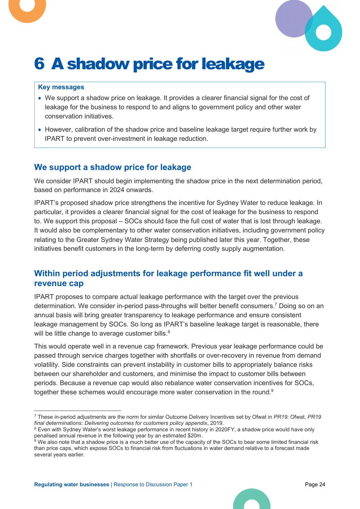

# 6 A shadow price for leakage

#### Key messages

- We support a shadow price on leakage. It provides a clearer financial signal for the cost of leakage for the business to respond to and aligns to government policy and other water conservation initiatives.
- However, calibration of the shadow price and baseline leakage target require further work by IPART to prevent over-investment in leakage reduction.

### We support a shadow price for leakage

We consider IPART should begin implementing the shadow price in the next determination period, based on performance in 2024 onwards.

IPART's proposed shadow price strengthens the incentive for Sydney Water to reduce leakage. In particular, it provides a clearer financial signal for the cost of leakage for the business to respond to. We support this proposal – SOCs should face the full cost of water that is lost through leakage. It would also be complementary to other water conservation initiatives, including government policy relating to the Greater Sydney Water Strategy being published later this year. Together, these initiatives benefit customers in the long-term by deferring costly supply augmentation.

# Within period adjustments for leakage performance fit well under a revenue cap

IPART proposes to compare actual leakage performance with the target over the previous determination. We consider in-period pass-throughs will better benefit consumers.<sup>7</sup> Doing so on an annual basis will bring greater transparency to leakage performance and ensure consistent leakage management by SOCs. So long as IPART's baseline leakage target is reasonable, there will be little change to average customer bills.<sup>8</sup>

This would operate well in a revenue cap framework. Previous year leakage performance could be passed through service charges together with shortfalls or over-recovery in revenue from demand volatility. Side constraints can prevent instability in customer bills to appropriately balance risks between our shareholder and customers, and minimise the impact to customer bills between periods. Because a revenue cap would also rebalance water conservation incentives for SOCs, together these schemes would encourage more water conservation in the round.<sup>9</sup>

<sup>&</sup>lt;sup>7</sup> These in-period adjustments are the norm for similar Outcome Delivery Incentives set by Ofwat in PR19: Ofwat, PR19 final determinations: Delivering outcomes for customers policy appendix, 2019.

<sup>&</sup>lt;sup>8</sup> Even with Sydney Water's worst leakage performance in recent history in 2020FY, a shadow price would have only

penalised annual revenue in the following year by an estimated \$20m.<br><sup>9</sup> We also note that a shadow price is a much better use of the capacity of the SOCs to bear some limited financial risk than price caps, which expose SOCs to financial risk from fluctuations in water demand relative to a forecast made several years earlier.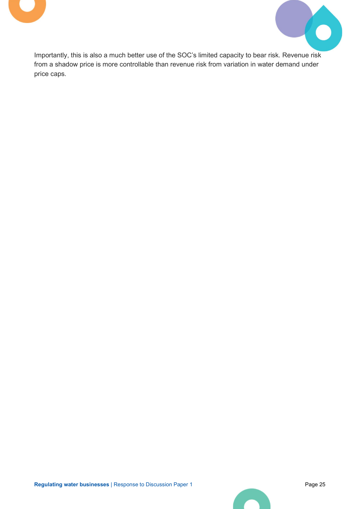



Importantly, this is also a much better use of the SOC's limited capacity to bear risk. Revenue risk from a shadow price is more controllable than revenue risk from variation in water demand under price caps.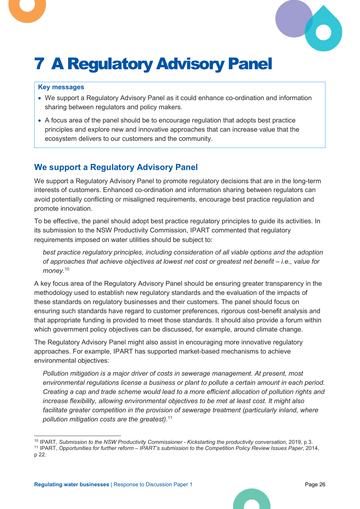

# 7 A Regulatory Advisory Panel

#### Key messages

- We support a Regulatory Advisory Panel as it could enhance co-ordination and information sharing between regulators and policy makers.
- A focus area of the panel should be to encourage regulation that adopts best practice principles and explore new and innovative approaches that can increase value that the ecosystem delivers to our customers and the community.

# We support a Regulatory Advisory Panel

We support a Regulatory Advisory Panel to promote regulatory decisions that are in the long-term interests of customers. Enhanced co-ordination and information sharing between regulators can avoid potentially conflicting or misaligned requirements, encourage best practice regulation and promote innovation.

To be effective, the panel should adopt best practice regulatory principles to guide its activities. In its submission to the NSW Productivity Commission, IPART commented that regulatory requirements imposed on water utilities should be subject to:

best practice regulatory principles, including consideration of all viable options and the adoption of approaches that achieve objectives at lowest net cost or greatest net benefit – i.e., value for money.<sup>10</sup>

A key focus area of the Regulatory Advisory Panel should be ensuring greater transparency in the methodology used to establish new regulatory standards and the evaluation of the impacts of these standards on regulatory businesses and their customers. The panel should focus on ensuring such standards have regard to customer preferences, rigorous cost-benefit analysis and that appropriate funding is provided to meet those standards. It should also provide a forum within which government policy objectives can be discussed, for example, around climate change.

The Regulatory Advisory Panel might also assist in encouraging more innovative regulatory approaches. For example, IPART has supported market-based mechanisms to achieve environmental objectives:

Pollution mitigation is a major driver of costs in sewerage management. At present, most environmental regulations license a business or plant to pollute a certain amount in each period. Creating a cap and trade scheme would lead to a more efficient allocation of pollution rights and increase flexibility, allowing environmental objectives to be met at least cost. It might also facilitate greater competition in the provision of sewerage treatment (particularly inland, where pollution mitigation costs are the greatest). $11$ 

<sup>&</sup>lt;sup>10</sup> IPART, Submission to the NSW Productivity Commissioner - Kickstarting the productivity conversation, 2019, p 3.

<sup>11</sup> IPART, Opportunities for further reform – IPART's submission to the Competition Policy Review Issues Paper, 2014, p 22.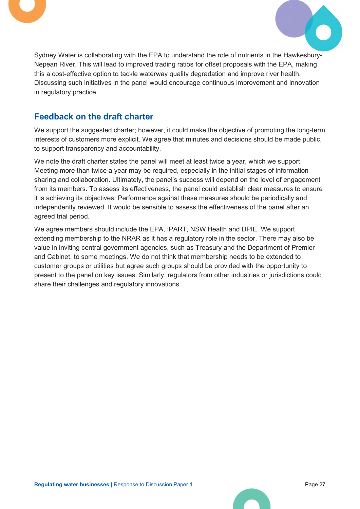



Sydney Water is collaborating with the EPA to understand the role of nutrients in the Hawkesbury-Nepean River. This will lead to improved trading ratios for offset proposals with the EPA, making this a cost-effective option to tackle waterway quality degradation and improve river health. Discussing such initiatives in the panel would encourage continuous improvement and innovation in regulatory practice.

# Feedback on the draft charter

We support the suggested charter; however, it could make the objective of promoting the long-term interests of customers more explicit. We agree that minutes and decisions should be made public, to support transparency and accountability.

We note the draft charter states the panel will meet at least twice a year, which we support. Meeting more than twice a year may be required, especially in the initial stages of information sharing and collaboration. Ultimately, the panel's success will depend on the level of engagement from its members. To assess its effectiveness, the panel could establish clear measures to ensure it is achieving its objectives. Performance against these measures should be periodically and independently reviewed. It would be sensible to assess the effectiveness of the panel after an agreed trial period.

We agree members should include the EPA, IPART, NSW Health and DPIE. We support extending membership to the NRAR as it has a regulatory role in the sector. There may also be value in inviting central government agencies, such as Treasury and the Department of Premier and Cabinet, to some meetings. We do not think that membership needs to be extended to customer groups or utilities but agree such groups should be provided with the opportunity to present to the panel on key issues. Similarly, regulators from other industries or jurisdictions could share their challenges and regulatory innovations.